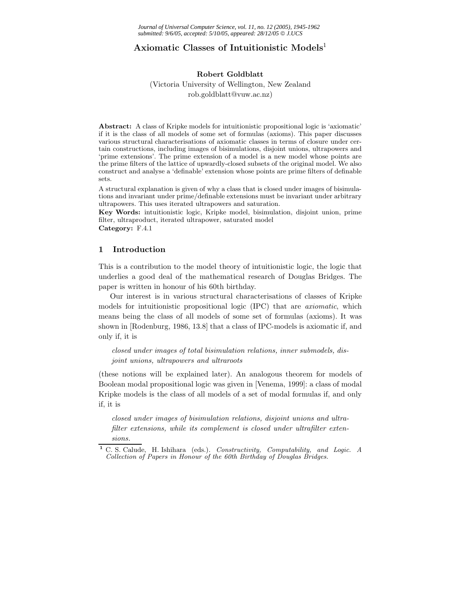# **Axiomatic Classes of Intuitionistic Models**<sup>1</sup>

## **Robert Goldblatt**

(Victoria University of Wellington, New Zealand

rob.goldblatt@vuw.ac.nz)

**Abstract:** A class of Kripke models for intuitionistic propositional logic is 'axiomatic' if it is the class of all models of some set of formulas (axioms). This paper discusses various structural characterisations of axiomatic classes in terms of closure under certain constructions, including images of bisimulations, disjoint unions, ultrapowers and 'prime extensions'. The prime extension of a model is a new model whose points are the prime filters of the lattice of upwardly-closed subsets of the original model. We also construct and analyse a 'definable' extension whose points are prime filters of definable sets.

A structural explanation is given of why a class that is closed under images of bisimulations and invariant under prime/definable extensions must be invariant under arbitrary ultrapowers. This uses iterated ultrapowers and saturation.

**Key Words:** intuitionistic logic, Kripke model, bisimulation, disjoint union, prime filter, ultraproduct, iterated ultrapower, saturated model **Category:** F.4.1

## **1 Introduction**

This is a contribution to the model theory of intuitionistic logic, the logic that underlies a good deal of the mathematical research of Douglas Bridges. The paper is written in honour of his 60th birthday.

Our interest is in various structural characterisations of classes of Kripke models for intuitionistic propositional logic (IPC) that are *axiomatic*, which means being the class of all models of some set of formulas (axioms). It was shown in [Rodenburg, 1986, 13.8] that a class of IPC-models is axiomatic if, and only if, it is

*closed under images of total bisimulation relations, inner submodels, disjoint unions, ultrapowers and ultraroots*

(these notions will be explained later). An analogous theorem for models of Boolean modal propositional logic was given in [Venema, 1999]: a class of modal Kripke models is the class of all models of a set of modal formulas if, and only if, it is

*closed under images of bisimulation relations, disjoint unions and ultrafilter extensions, while its complement is closed under ultrafilter extensions.*

**<sup>1</sup>** C. S. Calude, H. Ishihara (eds.). *Constructivity, Computability, and Logic. A Collection of Papers in Honour of the 60th Birthday of Douglas Bridges.*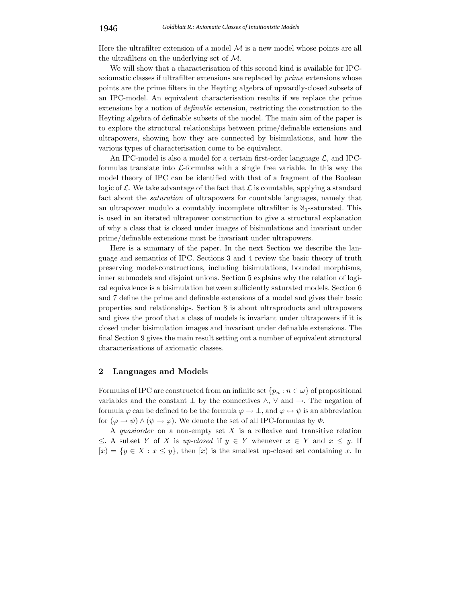Here the ultrafilter extension of a model  $\mathcal M$  is a new model whose points are all the ultrafilters on the underlying set of M.

We will show that a characterisation of this second kind is available for IPCaxiomatic classes if ultrafilter extensions are replaced by *prime* extensions whose points are the prime filters in the Heyting algebra of upwardly-closed subsets of an IPC-model. An equivalent characterisation results if we replace the prime extensions by a notion of *definable* extension, restricting the construction to the Heyting algebra of definable subsets of the model. The main aim of the paper is to explore the structural relationships between prime/definable extensions and ultrapowers, showing how they are connected by bisimulations, and how the various types of characterisation come to be equivalent.

An IPC-model is also a model for a certain first-order language  $\mathcal{L}$ , and IPCformulas translate into  $\mathcal{L}$ -formulas with a single free variable. In this way the model theory of IPC can be identified with that of a fragment of the Boolean logic of  $\mathcal L$ . We take advantage of the fact that  $\mathcal L$  is countable, applying a standard fact about the *saturation* of ultrapowers for countable languages, namely that an ultrapower modulo a countably incomplete ultrafilter is  $\aleph_1$ -saturated. This is used in an iterated ultrapower construction to give a structural explanation of why a class that is closed under images of bisimulations and invariant under prime/definable extensions must be invariant under ultrapowers.

Here is a summary of the paper. In the next Section we describe the language and semantics of IPC. Sections 3 and 4 review the basic theory of truth preserving model-constructions, including bisimulations, bounded morphisms, inner submodels and disjoint unions. Section 5 explains why the relation of logical equivalence is a bisimulation between sufficiently saturated models. Section 6 and 7 define the prime and definable extensions of a model and gives their basic properties and relationships. Section 8 is about ultraproducts and ultrapowers and gives the proof that a class of models is invariant under ultrapowers if it is closed under bisimulation images and invariant under definable extensions. The final Section 9 gives the main result setting out a number of equivalent structural characterisations of axiomatic classes.

### **2 Languages and Models**

Formulas of IPC are constructed from an infinite set  $\{p_n : n \in \omega\}$  of propositional variables and the constant  $\perp$  by the connectives  $\wedge$ ,  $\vee$  and  $\rightarrow$ . The negation of formula  $\varphi$  can be defined to be the formula  $\varphi \to \bot$ , and  $\varphi \leftrightarrow \psi$  is an abbreviation for  $(\varphi \to \psi) \land (\psi \to \varphi)$ . We denote the set of all IPC-formulas by  $\Phi$ .

<sup>A</sup> *quasiorder* on a non-empty set X is a reflexive and transitive relation <sup>≤</sup>. A subset Y of X is *up-closed* if y <sup>∈</sup> Y whenever x <sup>∈</sup> Y and x <sup>≤</sup> y. If  $[x] = \{y \in X : x \leq y\}$ , then  $[x]$  is the smallest up-closed set containing x. In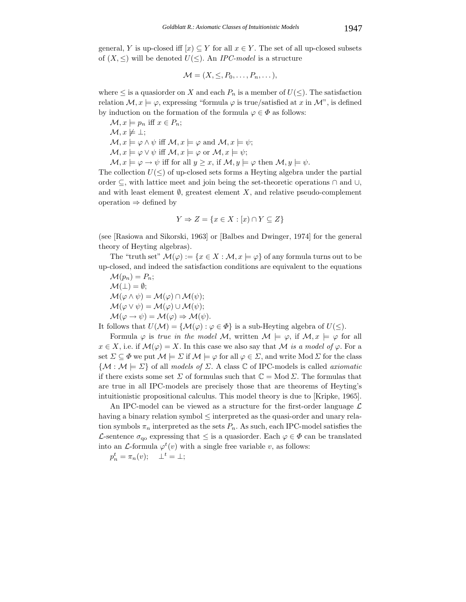$$
\mathcal{M}=(X,\leq,P_0,\ldots,P_n,\ldots),
$$

where  $\leq$  is a quasionation X and each  $P_n$  is a member of  $U(\leq)$ . The satisfaction relation  $\mathcal{M}, x \models \varphi$ , expressing "formula  $\varphi$  is true/satisfied at x in  $\mathcal{M}$ ", is defined by induction on the formation of the formula  $\varphi \in \Phi$  as follows:

 $\mathcal{M}, x \models p_n$  iff  $x \in P_n$ ;  $\mathcal{M}, x \not\models \bot;$  $\mathcal{M}, x \models \varphi \land \psi \text{ iff } \mathcal{M}, x \models \varphi \text{ and } \mathcal{M}, x \models \psi;$  $\mathcal{M}, x \models \varphi \lor \psi \text{ iff } \mathcal{M}, x \models \varphi \text{ or } \mathcal{M}, x \models \psi;$  $\mathcal{M}, x \models \varphi \rightarrow \psi$  iff for all  $y \geq x$ , if  $\mathcal{M}, y \models \varphi$  then  $\mathcal{M}, y \models \psi$ .

The collection  $U(\leq)$  of up-closed sets forms a Heyting algebra under the partial order ⊆, with lattice meet and join being the set-theoretic operations ∩ and ∪, and with least element  $\emptyset$ , greatest element X, and relative pseudo-complement operation  $\Rightarrow$  defined by

$$
Y \Rightarrow Z = \{ x \in X : [x) \cap Y \subseteq Z \}
$$

(see [Rasiowa and Sikorski, 1963] or [Balbes and Dwinger, 1974] for the general theory of Heyting algebras).

The "truth set"  $\mathcal{M}(\varphi) := \{x \in X : \mathcal{M}, x \models \varphi\}$  of any formula turns out to be up-closed, and indeed the satisfaction conditions are equivalent to the equations

 $\mathcal{M}(p_n) = P_n;$  $\mathcal{M}(\perp) = \emptyset;$  $\mathcal{M}(\varphi \wedge \psi) = \mathcal{M}(\varphi) \cap \mathcal{M}(\psi);$  $\mathcal{M}(\varphi \vee \psi) = \mathcal{M}(\varphi) \cup \mathcal{M}(\psi);$  $\mathcal{M}(\varphi \to \psi) = \mathcal{M}(\varphi) \Rightarrow \mathcal{M}(\psi).$ 

It follows that  $U(\mathcal{M}) = \{ \mathcal{M}(\varphi) : \varphi \in \Phi \}$  is a sub-Heyting algebra of  $U(\leq)$ .

Formula  $\varphi$  is *true in the model* M, written  $M \models \varphi$ , if  $M, x \models \varphi$  for all  $x \in X$ , i.e. if  $\mathcal{M}(\varphi) = X$ . In this case we also say that M *is a model of*  $\varphi$ . For a set  $\Sigma \subseteq \Phi$  we put  $\mathcal{M} \models \Sigma$  if  $\mathcal{M} \models \varphi$  for all  $\varphi \in \Sigma$ , and write Mod  $\Sigma$  for the class  $\{\mathcal{M} : \mathcal{M} \models \Sigma\}$  of all *models of*  $\Sigma$ . A class  $\mathbb C$  of IPC-models is called *axiomatic* if there exists some set  $\Sigma$  of formulas such that  $\mathbb{C} = Mod \Sigma$ . The formulas that are true in all IPC-models are precisely those that are theorems of Heyting's intuitionistic propositional calculus. This model theory is due to [Kripke, 1965].

An IPC-model can be viewed as a structure for the first-order language  $\mathcal{L}$ having a binary relation symbol ≤ interpreted as the quasi-order and unary relation symbols  $\pi_n$  interpreted as the sets  $P_n$ . As such, each IPC-model satisfies the L-sentence  $\sigma_{\alpha}$  expressing that  $\leq$  is a quasionation. Each  $\varphi \in \Phi$  can be translated into an *L*-formula  $\varphi^t(v)$  with a single free variable v, as follows:

$$
p_n^t = \pi_n(v); \quad \perp^t = \perp;
$$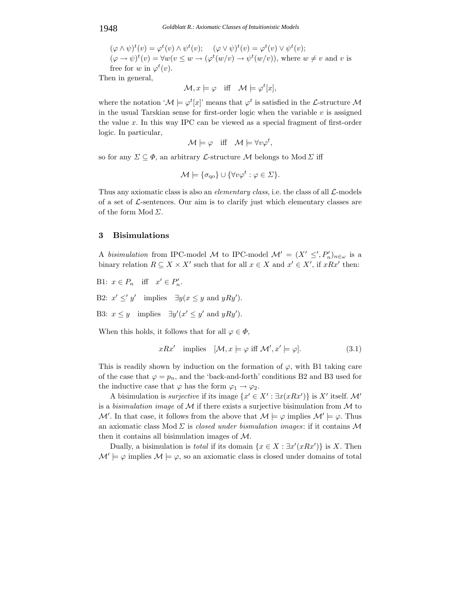#### 1948 *Goldblatt R.: Axiomatic Classes of Intuitionistic Models*

 $(\varphi \wedge \psi)^t(v) = \varphi^t(v) \wedge \psi^t(v); \quad (\varphi \vee \psi)^t(v) = \varphi^t(v) \vee \psi^t(v);$  $(\varphi \to \psi)^t(v) = \forall w(v \leq w \to (\varphi^t(w/v) \to \psi^t(w/v)),$  where  $w \neq v$  and v is free for w in  $\varphi^t(v)$ .

Then in general,

$$
\mathcal{M}, x \models \varphi \quad \text{iff} \quad \mathcal{M} \models \varphi^t[x],
$$

where the notation ' $\mathcal{M} \models \varphi^t[x]$ ' means that  $\varphi^t$  is satisfied in the L-structure  $\mathcal{M}$ <br>in the word Terchian cance for first order logic when the unriples wis essigned in the usual Tarskian sense for first-order logic when the variable  $v$  is assigned the value x. In this way IPC can be viewed as a special fragment of first-order logic. In particular,

$$
\mathcal{M} \models \varphi \quad \text{iff} \quad \mathcal{M} \models \forall v \varphi^t,
$$

so for any  $\Sigma \subseteq \Phi$ , an arbitrary *L*-structure *M* belongs to Mod  $\Sigma$  iff

$$
\mathcal{M} \models \{\sigma_{\mathbf{q}\mathbf{o}}\} \cup \{\forall v \varphi^t : \varphi \in \Sigma\}.
$$

Thus any axiomatic class is also an *elementary class*, i.e. the class of all  $\mathcal{L}$ -models of a set of  $\mathcal{L}$ -sentences. Our aim is to clarify just which elementary classes are of the form  $Mod \Sigma$ .

## **3 Bisimulations**

A *bisimulation* from IPC-model M to IPC-model  $\mathcal{M}' = (X' \leq', P'_n)_{n \in \omega}$  is a<br>hineary polation  $P \subseteq X \times X'$  such that for all  $x \in X$  and  $x' \in X'$  if  $x P x'$  then binary relation  $R \subseteq X \times X'$  such that for all  $x \in X$  and  $x' \in X'$ , if  $xRx'$  then:

B1: 
$$
x \in P_n
$$
 iff  $x' \in P'_n$ .

B2:  $x' \leq' y'$  implies  $\exists y (x \leq y \text{ and } yRy')$ .

B3:  $x \leq y$  implies  $\exists y' (x' \leq y' \text{ and } yRy')$ .

When this holds, it follows that for all  $\varphi \in \Phi$ ,

$$
xRx' \text{ implies } [\mathcal{M}, x \models \varphi \text{ iff } \mathcal{M}', x' \models \varphi]. \tag{3.1}
$$

This is readily shown by induction on the formation of  $\varphi$ , with B1 taking care of the case that  $\varphi = p_n$ , and the 'back-and-forth' conditions B2 and B3 used for the inductive case that  $\varphi$  has the form  $\varphi_1 \to \varphi_2$ .

A bisimulation is *surjective* if its image  $\{x' \in X' : \exists x(xRx')\}$  is X' itself. M'<br>*bisimulation image* of M if there exists a surjective bisimulation from M to is a *bisimulation image* of M if there exists a surjective bisimulation from M to M'. In that case, it follows from the above that  $\mathcal{M} \models \varphi$  implies  $\mathcal{M}' \models \varphi$ . Thus an axiomatic class Mod Σ is *closed under bismulation images*: if it contains <sup>M</sup> then it contains all bisimulation images of M.

Dually, a bisimulation is *total* if its domain  $\{x \in X : \exists x'(xRx')\}$  is X. Then  $\mathcal{M}' \models \varphi$  implies  $\mathcal{M} \models \varphi$ , so an axiomatic class is closed under domains of total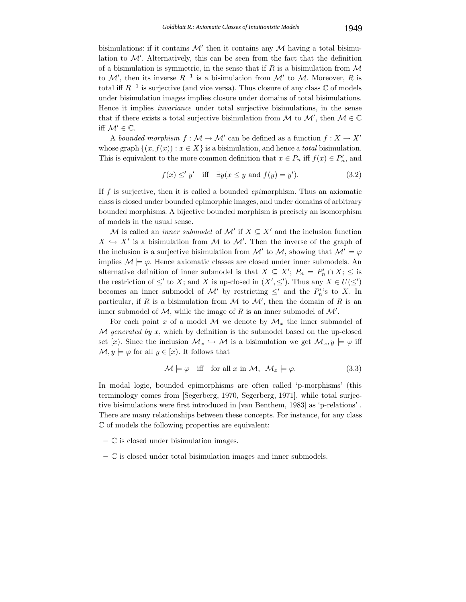bisimulations: if it contains  $\mathcal{M}'$  then it contains any  $\mathcal M$  having a total bisimulation to  $\mathcal{M}'$ . Alternatively, this can be seen from the fact that the definition of a bisimulation is symmetric, in the sense that if  $R$  is a bisimulation from  $\mathcal M$ to  $\mathcal{M}'$ , then its inverse  $R^{-1}$  is a bisimulation from  $\mathcal{M}'$  to  $\mathcal{M}$ . Moreover, R is<br>total if  $R^{-1}$  is anxietive (and vise years). Thus electing a survey  $\mathcal{L}$  of models total iff  $R^{-1}$  is surjective (and vice versa). Thus closure of any class  $\mathbb C$  of models under bisimulation images implies closure under domains of total bisimulations. Hence it implies *invariance* under total surjective bisimulations, in the sense that if there exists a total surjective bisimulation from  $M$  to  $M'$ , then  $M \in \mathbb{C}$ iff  $\mathcal{M}' \in \mathbb{C}$ .

A *bounded morphism*  $f : \mathcal{M} \to \mathcal{M}'$  can be defined as a function  $f : X \to X'$ whose graph  $\{(x, f(x)) : x \in X\}$  is a bisimulation, and hence a *total* bisimulation. This is equivalent to the more common definition that  $x \in P_n$  iff  $f(x) \in P'_n$ , and

$$
f(x) \leq' y' \quad \text{iff} \quad \exists y (x \leq y \text{ and } f(y) = y'). \tag{3.2}
$$

If f is surjective, then it is called a bounded *epi*morphism. Thus an axiomatic class is closed under bounded epimorphic images, and under domains of arbitrary bounded morphisms. A bijective bounded morphism is precisely an isomorphism of models in the usual sense.

M is called an *inner submodel* of  $\mathcal{M}'$  if  $X \subseteq X'$  and the inclusion function  $X \hookrightarrow X'$  is a bisimulation from M to M'. Then the inverse of the graph of<br>the inclusion is a quicative bisimulation from  $M'$  to M aboving that  $M' \vdash \varnothing$ the inclusion is a surjective bisimulation from  $\mathcal{M}'$  to  $\mathcal{M}$ , showing that  $\mathcal{M}' \models \varphi$ implies  $\mathcal{M} \models \varphi$ . Hence axiomatic classes are closed under inner submodels. An alternative definition of inner submodel is that  $X \subseteq X'$ ;  $P_n = P'_n \cap X$ ;  $\leq$  is<br>the postmistion of  $\leq'$  to  $X$ ; and  $X$  is up closed in  $(X' \leq')$ . Thus any  $X \subseteq U(\leq')$ the restriction of  $\leq'$  to X; and X is up-closed in  $(X', \leq')$ . Thus any  $X \in U(\leq')$ <br>becomes an inner submodel of  $M'$  by restricting  $\leq'$  and the  $B'$ 's to X. In becomes an inner submodel of  $\mathcal{M}'$  by restricting  $\leq'$  and the  $P_n'$ 's to X. In particular, if R is a bisimulation from M to  $\mathcal{M}'$ , then the domain of R is an inner submodel of  $M'$ inner submodel of  $M$ , while the image of R is an inner submodel of  $M'$ .<br>For each point  $x$  of a model  $M$  we denote by  $M$ , the inner subm

For each point x of a model  $M$  we denote by  $\mathcal{M}_x$  the inner submodel of <sup>M</sup> *generated by* x, which by definition is the submodel based on the up-closed set [x]. Since the inclusion  $\mathcal{M}_x \hookrightarrow \mathcal{M}$  is a bisimulation we get  $\mathcal{M}_x, y \models \varphi$  iff  $\mathcal{M}, y \models \varphi$  for all  $y \in [x]$ . It follows that

$$
\mathcal{M} \models \varphi \quad \text{iff} \quad \text{for all } x \text{ in } \mathcal{M}, \ \mathcal{M}_x \models \varphi. \tag{3.3}
$$

In modal logic, bounded epimorphisms are often called 'p-morphisms' (this terminology comes from [Segerberg, 1970, Segerberg, 1971], while total surjective bisimulations were first introduced in [van Benthem, 1983] as 'p-relations' . There are many relationships between these concepts. For instance, for any class C of models the following properties are equivalent:

- **–** C is closed under bisimulation images.
- **–** C is closed under total bisimulation images and inner submodels.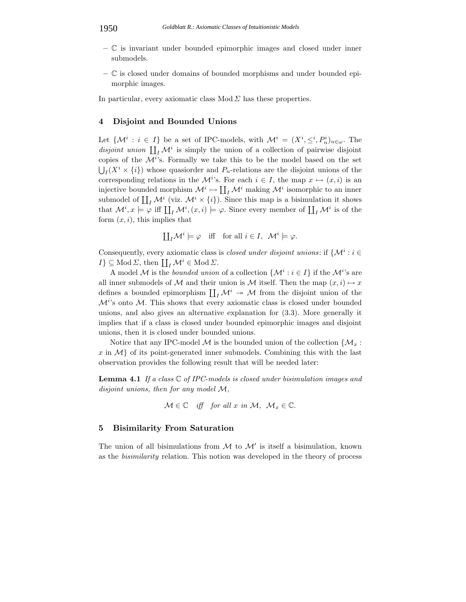- **–** C is invariant under bounded epimorphic images and closed under inner submodels.
- **–** C is closed under domains of bounded morphisms and under bounded epimorphic images.

In particular, every axiomatic class  $Mod \Sigma$  has these properties.

## **4 Disjoint and Bounded Unions**

Let  $\{\mathcal{M}^i : i \in I\}$  be a set of IPC-models, with  $\mathcal{M}^i = (X^i, \le^i, P_n^i)_{n \in \omega}$ . The disjoint enjoy II,  $M^i$  is simply the union of a sollection of pointing disjoint *disjoint union*  $\prod_I \mathcal{M}^i$  is simply the union of a collection of pairwise disjoint copies of the  $\mathcal{M}^{i}$ 's. Formally we take this to be the model based on the set  $\bigcup_I (X^i \times \{i\})$  whose quasiorder and  $P_n$ -relations are the disjoint unions of the corresponding relations in the  $\mathcal{M}^i$ 's. For each  $i \in I$ , the map  $x \mapsto (x, i)$  is an injective bounded morphism  $M^i$ ,  $\cup$  **IL**  $M^i$  making  $M^i$  isomorphis to an inner injective bounded morphism  $\mathcal{M}^i \rightarrow \coprod_I \mathcal{M}^i$  making  $\mathcal{M}^i$  isomorphic to an inner submodel of  $\coprod_I \mathcal{M}^i$  (viz.  $\mathcal{M}^i \times \{i\}$ ). Since this map is a bisimulation it shows<br>that  $M^i x \models a$  iff II  $M^i (x, i) \models a$ . Since every mamber of II  $M^i$  is of the that  $\mathcal{M}^i, x \models \varphi$  iff  $\coprod_I \mathcal{M}^i, (x, i) \models \varphi$ . Since every member of  $\coprod_I \mathcal{M}^i$  is of the form  $(x, i)$ , this implies that

$$
\coprod_I \mathcal{M}^i \models \varphi \quad \text{iff} \quad \text{for all } i \in I, \ \mathcal{M}^i \models \varphi.
$$

Consequently, every axiomatic class is *closed under disjoint unions*: if  $\{M^i : i \in$  $I\} \subseteq Mod \Sigma$ , then  $\coprod_I \mathcal{M}^i \in Mod \Sigma$ .<br>A model A4 is the hearded union

A model M is the *bounded union* of a collection  $\{\mathcal{M}^i : i \in I\}$  if the  $\mathcal{M}^{i}$ 's are<br>inner submodels of  $M$  and their union is  $M$  itself. Then the man  $(x, i) \mapsto x$ all inner submodels of M and their union is M itself. Then the map  $(x, i) \mapsto x$ defines a bounded epimorphism  $\coprod_I \mathcal{M}^i \to \mathcal{M}$  from the disjoint union of the  $\mathcal{M}^{i}$ 's onto  $\mathcal{M}$ . This shows that every axiomatic class is closed under bounded unions, and also gives an alternative explanation for (3.3). More generally it implies that if a class is closed under bounded epimorphic images and disjoint unions, then it is closed under bounded unions.

Notice that any IPC-model M is the bounded union of the collection  $\{M_x:$ x in  $\mathcal{M}\}$  of its point-generated inner submodels. Combining this with the last observation provides the following result that will be needed later:

**Lemma 4.1** *If a class* C *of IPC-models is closed under bisimulation images and disjoint unions, then for any model* M*,*

$$
\mathcal{M} \in \mathbb{C} \quad \text{iff} \quad \text{for all } x \text{ in } \mathcal{M}, \ \mathcal{M}_x \in \mathbb{C}.
$$

### **5 Bisimilarity From Saturation**

The union of all bisimulations from  $\mathcal M$  to  $\mathcal M'$  is itself a bisimulation, known as the *bisimilarity* relation. This notion was developed in the theory of process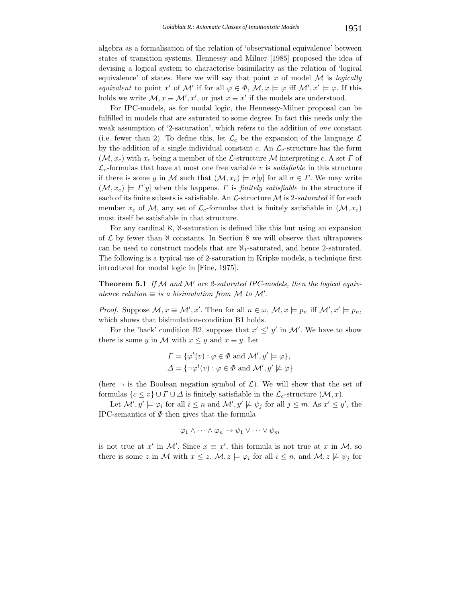algebra as a formalisation of the relation of 'observational equivalence' between states of transition systems. Hennessy and Milner [1985] proposed the idea of devising a logical system to characterise bisimilarity as the relation of 'logical equivalence' of states. Here we will say that point  $x$  of model  $\mathcal M$  is *logically equivalent* to point x' of M' if for all  $\varphi \in \Phi$ ,  $\mathcal{M}, x \models \varphi$  iff  $\mathcal{M}', x' \models \varphi$ . If this halo we write  $M, x = M'$  or just  $x = x'$  if the models are understood. holds we write  $\mathcal{M}, x \equiv \mathcal{M}', x'$ , or just  $x \equiv x'$  if the models are understood.<br>For IPC models, as for model logic, the Hennesey Milner proposal as

For IPC-models, as for modal logic, the Hennessy-Milner proposal can be fulfilled in models that are saturated to some degree. In fact this needs only the weak assumption of '2-saturation', which refers to the addition of *one* constant (i.e. fewer than 2). To define this, let  $\mathcal{L}_c$  be the expansion of the language  $\mathcal L$ by the addition of a single individual constant c. An  $\mathcal{L}_c$ -structure has the form  $(M, x_c)$  with  $x_c$  being a member of the L-structure M interpreting c. A set  $\Gamma$  of  $\mathcal{L}_c$ -formulas that have at most one free variable v is *satisfiable* in this structure if there is some y in M such that  $(M, x_c) \models \sigma[y]$  for all  $\sigma \in \Gamma$ . We may write  $(\mathcal{M}, x_c) \models \Gamma[y]$  when this happens.  $\Gamma$  is *finitely satisfiable* in the structure if each of its finite subsets is satisfiable. An  $\mathcal{L}\text{-structure }\mathcal{M}$  is 2-*saturated* if for each member  $x_c$  of M, any set of  $\mathcal{L}_c$ -formulas that is finitely satisfiable in  $(\mathcal{M}, x_c)$ must itself be satisfiable in that structure.

For any cardinal  $\aleph$ ,  $\aleph$ -saturation is defined like this but using an expansion of  $\mathcal L$  by fewer than  $\aleph$  constants. In Section 8 we will observe that ultrapowers can be used to construct models that are  $\aleph_1$ -saturated, and hence 2-saturated. The following is a typical use of 2-saturation in Kripke models, a technique first introduced for modal logic in [Fine, 1975].

**Theorem 5.1** If M and M' are 2-saturated IPC-models, then the logical equiv*alence relation*  $\equiv$  *is a bisimulation from*  $\mathcal M$  *to*  $\mathcal M'$ *.* 

*Proof.* Suppose  $\mathcal{M}, x \equiv \mathcal{M}', x'$ . Then for all  $n \in \omega, \mathcal{M}, x \models p_n$  iff  $\mathcal{M}', x' \models p_n$ , which shows that bisimulation-condition B1 holds.

For the 'back' condition B2, suppose that  $x' \leq y'$  in M'. We have to show there is some y in M with  $x \leq y$  and  $x \equiv y$ . Let

$$
\Gamma = \{ \varphi^t(v) : \varphi \in \Phi \text{ and } \mathcal{M}', y' \models \varphi \},\
$$
  

$$
\Delta = \{ \neg \varphi^t(v) : \varphi \in \Phi \text{ and } \mathcal{M}', y' \not\models \varphi \}
$$

(here  $\neg$  is the Boolean negation symbol of  $\mathcal{L}$ ). We will show that the set of formulas  $\{c \leq v\} \cup \Gamma \cup \Delta$  is finitely satisfiable in the  $\mathcal{L}_c$ -structure  $(\mathcal{M}, x)$ .

Let  $\mathcal{M}', y' \models \varphi_i$  for all  $i \leq n$  and  $\mathcal{M}', y' \not\models \psi_j$  for all  $j \leq m$ . As  $x' \leq y'$ , the IPC-semantics of  $\Phi$  then gives that the formula

$$
\varphi_1 \wedge \cdots \wedge \varphi_n \to \psi_1 \vee \cdots \vee \psi_m
$$

is not true at x' in M'. Since  $x \equiv x'$ , this formula is not true at x in M, so<br>there is some x in M with  $x \le x M$  x  $\vdash$  is for all  $i \le n$  and M x  $\vdash$  sh, for there is some z in M with  $x \leq z$ ,  $M, z \models \varphi_i$  for all  $i \leq n$ , and  $M, z \not\models \psi_j$  for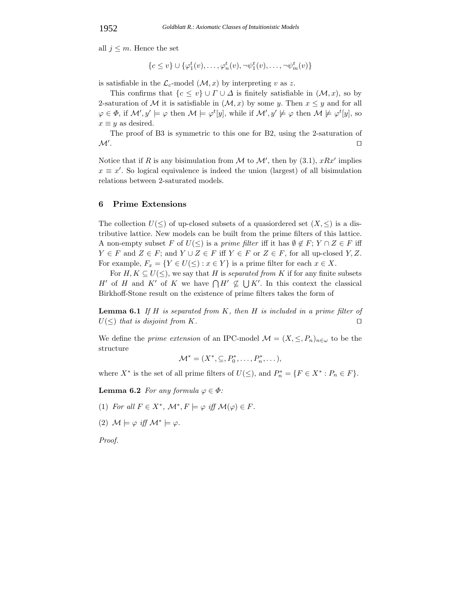all  $j \leq m$ . Hence the set

$$
\{c \leq v\} \cup \{\varphi_1^t(v), \dots, \varphi_n^t(v), \neg \psi_1^t(v), \dots, \neg \psi_m^t(v)\}\
$$

is satisfiable in the  $\mathcal{L}_c$ -model  $(\mathcal{M}, x)$  by interpreting v as z.

This confirms that  $\{c \leq v\} \cup \Gamma \cup \Delta$  is finitely satisfiable in  $(\mathcal{M}, x)$ , so by 2-saturation of M it is satisfiable in  $(M, x)$  by some y. Then  $x \leq y$  and for all  $\varphi \in \Phi$ , if  $\mathcal{M}'$ ,  $y' \models \varphi$  then  $\mathcal{M} \models \varphi^t[y]$ , while if  $\mathcal{M}'$ ,  $y' \not\models \varphi$  then  $\mathcal{M} \not\models \varphi^t[y]$ , so  $x \equiv y$  as desired.

The proof of B3 is symmetric to this one for B2, using the 2-saturation of  $\mathcal{M}'$ . .

Notice that if R is any bisimulation from M to M', then by  $(3.1)$ ,  $xRx'$  implies  $x = x'$ . So logical equivalence is indeed the union (largest) of all bisimulation  $x \equiv x'$ . So logical equivalence is indeed the union (largest) of all bisimulation relations between 2 seturated models. relations between 2-saturated models.

#### **6 Prime Extensions**

The collection  $U(\le)$  of up-closed subsets of a quasional set  $(X, \le)$  is a distributive lattice. New models can be built from the prime filters of this lattice. A non-empty subset F of  $U(\leq)$  is a *prime filter* iff it has  $\emptyset \notin F$ ;  $Y \cap Z \in F$  iff<br> $Y \subseteq F$  and  $Z \subseteq F$ ; and  $Y \cup Z \subseteq F$  iff  $Y \subseteq F$  an  $Z \subseteq F$  for all up aloned  $Y, Z$  $Y \in F$  and  $Z \in F$ ; and  $Y \cup Z \in F$  iff  $Y \in F$  or  $Z \in F$ , for all up-closed Y, Z. For example,  $F_x = \{ Y \in U(\le) : x \in Y \}$  is a prime filter for each  $x \in X$ .

For  $H, K \subseteq U(\leq)$ , we say that H is *separated from* K if for any finite subsets H' of H and K' of K we have  $\bigcap H' \nsubseteq \bigcup K'$ . In this context the classical<br>Birlike fistene result on the evictories of prime filters takes the form of Birkhoff-Stone result on the existence of prime filters takes the form of

**Lemma 6.1** *If H is separated from K*, then *H is included in a prime filter of*  $U(\le)$  *that is disjoint from K*.  $U(\leq)$  *that is disjoint from K.* 

We define the *prime extension* of an IPC-model  $\mathcal{M} = (X, \leq, P_n)_{n \in \omega}$  to be the structure

$$
\mathcal{M}^* = (X^*, \subseteq, P_0^*, \dots, P_n^*, \dots),
$$

where  $X^*$  is the set of all prime filters of  $U(\leq)$ , and  $P_n^* = \{F \in X^* : P_n \in F\}.$ 

**Lemma 6.2** *For any formula*  $\varphi \in \Phi$ *:* 

(1) For all  $F \in X^*$ ,  $\mathcal{M}^*, F \models \varphi$  *iff*  $\mathcal{M}(\varphi) \in F$ .

(2)  $\mathcal{M} \models \varphi \text{ iff } \mathcal{M}^* \models \varphi.$ 

*Proof.*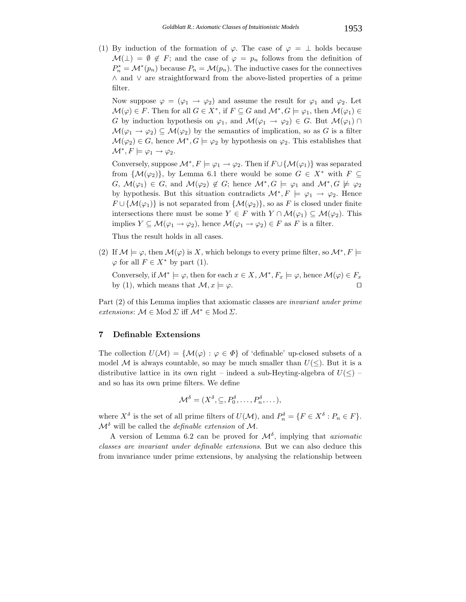(1) By induction of the formation of  $\varphi$ . The case of  $\varphi = \perp$  holds because  $\mathcal{M}(\perp) = \emptyset \notin F$ ; and the case of  $\varphi = p_n$  follows from the definition of  $P^* = M^*(n)$  because  $P = M(n)$ . The inductive case for the connectives  $P_n^* = \mathcal{M}^*(p_n)$  because  $P_n = \mathcal{M}(p_n)$ . The inductive cases for the connectives ∧ and ∨ are straightforward from the above-listed properties of a prime filter.

Now suppose  $\varphi = (\varphi_1 \to \varphi_2)$  and assume the result for  $\varphi_1$  and  $\varphi_2$ . Let  $\mathcal{M}(\varphi) \in F$ . Then for all  $G \in X^*$ , if  $F \subseteq G$  and  $\mathcal{M}^*, G \models \varphi_1$ , then  $\mathcal{M}(\varphi_1) \in$ G by induction hypothesis on  $\varphi_1$ , and  $\mathcal{M}(\varphi_1 \to \varphi_2) \in G$ . But  $\mathcal{M}(\varphi_1) \cap$  $\mathcal{M}(\varphi_1 \to \varphi_2) \subseteq \mathcal{M}(\varphi_2)$  by the semantics of implication, so as G is a filter  $\mathcal{M}(\varphi_2) \in G$ , hence  $\mathcal{M}^*, G \models \varphi_2$  by hypothesis on  $\varphi_2$ . This establishes that  $\mathcal{M}^*, F \models \varphi_1 \rightarrow \varphi_2.$ 

Conversely, suppose  $\mathcal{M}^*, F \models \varphi_1 \rightarrow \varphi_2$ . Then if  $F \cup \{\mathcal{M}(\varphi_1)\}\$  was separated from  $\{\mathcal{M}(\varphi_2)\}\,$  by Lemma 6.1 there would be some  $G \in X^*$  with  $F \subseteq$  $G, \mathcal{M}(\varphi_1) \in G$ , and  $\mathcal{M}(\varphi_2) \notin G$ ; hence  $\mathcal{M}^*, G \models \varphi_1$  and  $\mathcal{M}^*, G \not\models \varphi_2$ <br>by hypothosis But this situation controdicts  $\mathcal{M}^* F \models \varphi_2$ ,  $\varphi_3$ . Hence by hypothesis. But this situation contradicts  $\mathcal{M}^*, F \models \varphi_1 \rightarrow \varphi_2$ . Hence  $F \cup \{\mathcal{M}(\varphi_1)\}\$ is not separated from  $\{\mathcal{M}(\varphi_2)\}\$ , so as F is closed under finite intersections there must be some  $Y \in F$  with  $Y \cap \mathcal{M}(\varphi_1) \subseteq \mathcal{M}(\varphi_2)$ . This implies  $Y \subseteq \mathcal{M}(\varphi_1 \to \varphi_2)$ , hence  $\mathcal{M}(\varphi_1 \to \varphi_2) \in F$  as F is a filter.

Thus the result holds in all cases.

(2) If  $\mathcal{M} \models \varphi$ , then  $\mathcal{M}(\varphi)$  is X, which belongs to every prime filter, so  $\mathcal{M}^*, F \models$  $\varphi$  for all  $F \in X^*$  by part (1).

Conversely, if  $\mathcal{M}^* \models \varphi$ , then for each  $x \in X$ ,  $\mathcal{M}^*, F_x \models \varphi$ , hence  $\mathcal{M}(\varphi) \in F_x$ <br>by (1), which means that  $\mathcal{M}, x \models \varphi$ . by (1), which means that  $\mathcal{M}, x \models \varphi$ .

Part (2) of this Lemma implies that axiomatic classes are *invariant under prime extensions*:  $M \in Mod \Sigma$  iff  $M^* \in Mod \Sigma$ .

### **7 Definable Extensions**

The collection  $U(\mathcal{M}) = \{ \mathcal{M}(\varphi) : \varphi \in \Phi \}$  of 'definable' up-closed subsets of a model M is always countable, so may be much smaller than  $U(\le)$ . But it is a distributive lattice in its own right – indeed a sub-Heyting-algebra of  $U(\leq)$  – and so has its own prime filters. We define

$$
\mathcal{M}^{\delta} = (X^{\delta}, \subseteq, P_0^{\delta}, \dots, P_n^{\delta}, \dots),
$$

where  $X^{\delta}$  is the set of all prime filters of  $U(\mathcal{M})$ , and  $P_n^{\delta} = \{F \in X^{\delta} : P_n \in F\}.$  $\mathcal{M}^{\delta}$  will be called the *definable extension* of  $\mathcal{M}$ .

A version of Lemma 6.2 can be proved for  $\mathcal{M}^{\delta}$ , implying that *axiomatic classes are invariant under definable extensions*. But we can also deduce this from invariance under prime extensions, by analysing the relationship between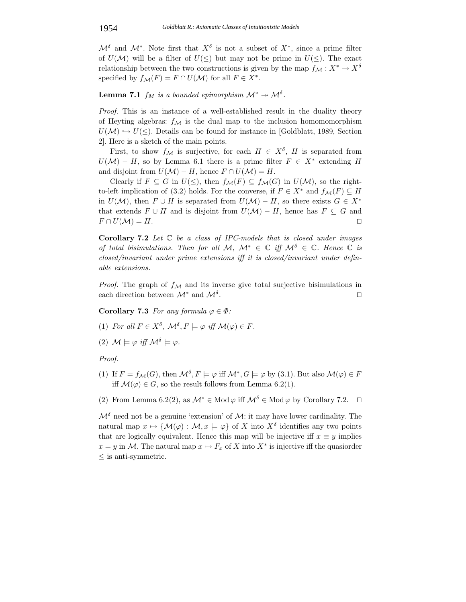$\mathcal{M}^{\delta}$  and  $\mathcal{M}^*$ . Note first that  $X^{\delta}$  is not a subset of  $X^*$ , since a prime filter of  $U(\mathcal{M})$  will be a filter of  $U(\le)$  but may not be prime in  $U(\le)$ . The exact relationship between the two constructions is given by the map  $f_{\mathcal{M}} : X^* \to X^{\delta}$ specified by  $f_{\mathcal{M}}(F) = F \cap U(\mathcal{M})$  for all  $F \in X^*$ .

**Lemma 7.1**  $f_M$  *is a bounded epimorphism*  $\mathcal{M}^* \to \mathcal{M}^{\delta}$ .

*Proof.* This is an instance of a well-established result in the duality theory of Heyting algebras:  $f_{\mathcal{M}}$  is the dual map to the inclusion homomomorphism  $U(\mathcal{M}) \hookrightarrow U(\leq)$ . Details can be found for instance in [Goldblatt, 1989, Section 2]. Here is a sketch of the main points.

First, to show  $f_{\mathcal{M}}$  is surjective, for each  $H \in X^{\delta}$ , H is separated from  $U(\mathcal{M}) - H$ , so by Lemma 6.1 there is a prime filter  $F \in X^*$  extending H and disjoint from  $U(\mathcal{M}) - H$ , hence  $F \cap U(\mathcal{M}) = H$ .

Clearly if  $F \subseteq G$  in  $U(\le)$ , then  $f_{\mathcal{M}}(F) \subseteq f_{\mathcal{M}}(G)$  in  $U(\mathcal{M})$ , so the rightto-left implication of (3.2) holds. For the converse, if  $F \in X^*$  and  $f_{\mathcal{M}}(F) \subseteq H$ in  $U(\mathcal{M})$ , then  $F \cup H$  is separated from  $U(\mathcal{M}) - H$ , so there exists  $G \in X^*$ that extends  $F \cup H$  and is disjoint from  $U(\mathcal{M}) - H$ , hence has  $F \subseteq G$  and  $F \cap U(\mathcal{M}) = H$ .  $\Box$  $F \cap U(\mathcal{M}) = H.$ 

**Corollary 7.2** *Let* C *be a class of IPC-models that is closed under images of total bisimulations. Then for all*  $M$ ,  $M^* \in \mathbb{C}$  *iff*  $M^{\delta} \in \mathbb{C}$ *. Hence*  $\mathbb{C}$  *is closed/invariant under prime extensions iff it is closed/invariant under definable extensions.*

*Proof.* The graph of  $f_{\mathcal{M}}$  and its inverse give total surjective bisimulations in each direction between  $\mathcal{M}^*$  and  $\mathcal{M}^{\delta}$ . each direction between  $\mathcal{M}^*$  and  $\mathcal{M}^{\delta}$ .

**Corollary 7.3** *For any formula*  $\varphi \in \Phi$ *:* 

- (1) For all  $F \in X^{\delta}$ ,  $\mathcal{M}^{\delta}$ ,  $F \models \varphi$  *iff*  $\mathcal{M}(\varphi) \in F$ .
- (2)  $\mathcal{M} \models \varphi \text{ iff } \mathcal{M}^{\delta} \models \varphi.$

*Proof.*

- (1) If  $F = f_{\mathcal{M}}(G)$ , then  $\mathcal{M}^{\delta}, F \models \varphi$  iff  $\mathcal{M}^*, G \models \varphi$  by (3.1). But also  $\mathcal{M}(\varphi) \in F$ iff  $\mathcal{M}(\varphi) \in G$ , so the result follows from Lemma 6.2(1).
- (2) From Lemma 6.2(2), as  $\mathcal{M}^* \in \text{Mod } \varphi$  iff  $\mathcal{M}^{\delta} \in \text{Mod } \varphi$  by Corollary 7.2.  $\Box$

 $\mathcal{M}^{\delta}$  need not be a genuine 'extension' of  $\mathcal{M}$ : it may have lower cardinality. The natural map  $x \mapsto \{ \mathcal{M}(\varphi) : \mathcal{M}, x \models \varphi \}$  of X into  $X^{\delta}$  identifies any two points that are logically equivalent. Hence this map will be injective iff  $x \equiv y$  implies  $x = y$  in M. The natural map  $x \mapsto F_x$  of X into  $X^*$  is injective iff the quasionedr ≤ is anti-symmetric.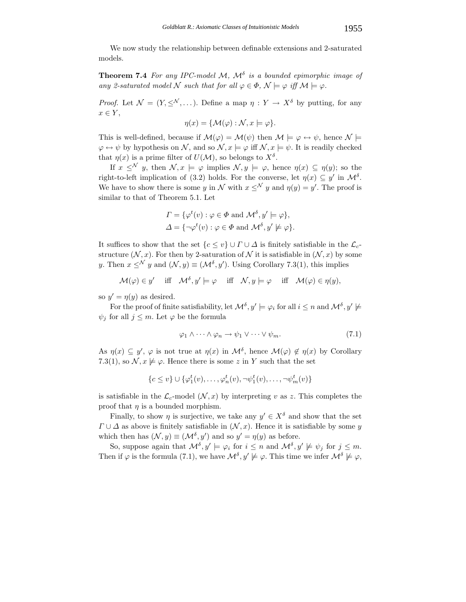We now study the relationship between definable extensions and 2-saturated models.

**Theorem 7.4** *For any IPC-model*  $M$ *,*  $M^{\delta}$  *is a bounded epimorphic image of any 2-saturated model*  $N$  *such that for all*  $\varphi \in \Phi$ ,  $N \models \varphi$  *iff*  $M \models \varphi$ .

*Proof.* Let  $\mathcal{N} = (Y, \leq^{\mathcal{N}}, \dots)$ . Define a map  $\eta : Y \to X^{\delta}$  by putting, for any  $x \in Y$ ,

$$
\eta(x) = \{ \mathcal{M}(\varphi) : \mathcal{N}, x \models \varphi \}.
$$

This is well-defined, because if  $\mathcal{M}(\varphi) = \mathcal{M}(\psi)$  then  $\mathcal{M} \models \varphi \leftrightarrow \psi$ , hence  $\mathcal{N} \models$  $\varphi \leftrightarrow \psi$  by hypothesis on N, and so  $\mathcal{N}, x \models \varphi$  iff  $\mathcal{N}, x \models \psi$ . It is readily checked that  $\eta(x)$  is a prime filter of  $U(\mathcal{M})$ , so belongs to  $X^{\delta}$ .

If  $x \leq^{\mathcal{N}} y$ , then  $\mathcal{N}, x \models \varphi$  implies  $\mathcal{N}, y \models \varphi$ , hence  $\eta(x) \subseteq \eta(y)$ ; so the right-to-left implication of (3.2) holds. For the converse, let  $\eta(x) \subseteq y'$  in  $\mathcal{M}^{\delta}$ . We have to show there is some y in N with  $x \leq^N y$  and  $\eta(y) = y'$ . The proof is similar to that of Theorem 5.1. Let similar to that of Theorem 5.1. Let

$$
\Gamma = \{ \varphi^t(v) : \varphi \in \Phi \text{ and } \mathcal{M}^\delta, y' \models \varphi \},\
$$
  

$$
\Delta = \{ \neg \varphi^t(v) : \varphi \in \Phi \text{ and } \mathcal{M}^\delta, y' \not\models \varphi \}.
$$

It suffices to show that the set  $\{c \leq v\} \cup \Gamma \cup \Delta$  is finitely satisfiable in the  $\mathcal{L}_c$ structure  $(N, x)$ . For then by 2-saturation of N it is satisfiable in  $(N, x)$  by some y. Then  $x \leq^{\mathcal{N}} y$  and  $(\mathcal{N}, y) \equiv (\mathcal{M}^{\delta}, y')$ . Using Corollary 7.3(1), this implies

$$
\mathcal{M}(\varphi) \in y' \quad \text{iff} \quad \mathcal{M}^{\delta}, y' \models \varphi \quad \text{iff} \quad \mathcal{N}, y \models \varphi \quad \text{iff} \quad \mathcal{M}(\varphi) \in \eta(y),
$$

so  $y' = \eta(y)$  as desired.

For the proof of finite satisfiability, let  $\mathcal{M}^{\delta}$ ,  $y' \models \varphi_i$  for all  $i \leq n$  and  $\mathcal{M}^{\delta}$ ,  $y' \not\models$  $\psi_j$  for all  $j \leq m$ . Let  $\varphi$  be the formula

$$
\varphi_1 \wedge \cdots \wedge \varphi_n \to \psi_1 \vee \cdots \vee \psi_m. \tag{7.1}
$$

As  $\eta(x) \subseteq y'$ ,  $\varphi$  is not true at  $\eta(x)$  in  $\mathcal{M}^{\delta}$ , hence  $\mathcal{M}(\varphi) \notin \eta(x)$  by Corollary 7.3(1), so  $\mathcal{N}, x \not\models \varphi$ . Hence there is some z in Y such that the set

$$
\{c \leq v\} \cup \{\varphi_1^t(v), \dots, \varphi_n^t(v), \neg \psi_1^t(v), \dots, \neg \psi_m^t(v)\}\
$$

is satisfiable in the  $\mathcal{L}_c$ -model  $(\mathcal{N}, x)$  by interpreting v as z. This completes the proof that  $\eta$  is a bounded morphism.

Finally, to show  $\eta$  is surjective, we take any  $y' \in X^{\delta}$  and show that the set  $\Gamma \cup \Delta$  as above is finitely satisfiable in  $(\mathcal{N}, x)$ . Hence it is satisfiable by some y which then has  $(N, y) \equiv (M^{\delta}, y')$  and so  $y' = \eta(y)$  as before.<br>So gunners again that  $M^{\delta}$  as  $y' = \eta(x)$  and  $M^{\delta}$  as

So, suppose again that  $\mathcal{M}^{\delta}, y' \models \varphi_i$  for  $i \leq n$  and  $\mathcal{M}^{\delta}, y' \not\models \psi_j$  for  $j \leq m$ .<br>So, if is is the formula (7.1) we have  $M^{\delta}$  of  $\forall$  is the This time we infer  $M^{\delta} \not\models \varphi_i$ Then if  $\varphi$  is the formula (7.1), we have  $\mathcal{M}^{\delta}, y' \not\models \varphi$ . This time we infer  $\mathcal{M}^{\delta} \not\models \varphi$ ,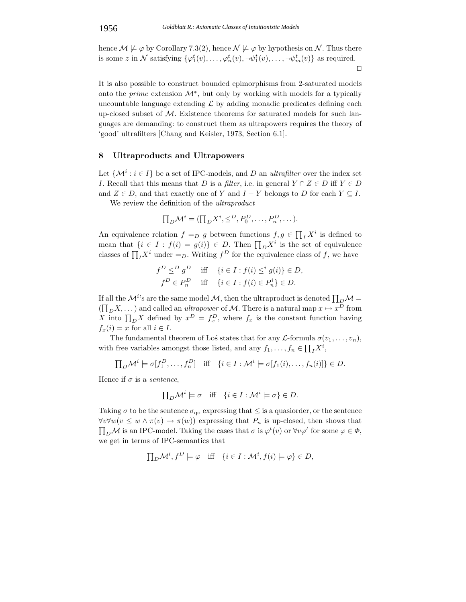hence  $\mathcal{M} \not\models \varphi$  by Corollary 7.3(2), hence  $\mathcal{N} \not\models \varphi$  by hypothesis on  $\mathcal{N}$ . Thus there is some z in N satisfying  $\{\varphi_1^t(v), \ldots, \varphi_n^t(v), \neg \psi_1^t(v), \ldots, \neg \psi_m^t(v)\}\$ as required.

 $\Box$ 

It is also possible to construct bounded epimorphisms from 2-saturated models onto the *prime* extension  $\mathcal{M}^*$ , but only by working with models for a typically uncountable language extending  $\mathcal L$  by adding monadic predicates defining each up-closed subset of  $M$ . Existence theorems for saturated models for such languages are demanding: to construct them as ultrapowers requires the theory of 'good' ultrafilters [Chang and Keisler, 1973, Section 6.1].

### **8 Ultraproducts and Ultrapowers**

Let  $\{\mathcal{M}^i : i \in I\}$  be a set of IPC-models, and D an *ultrafilter* over the index set I. Recall that this means that D is a *filter*, i.e. in general  $Y \cap Z \in D$  iff  $Y \in D$ and  $Z \in D$ , and that exactly one of Y and  $I - Y$  belongs to D for each  $Y \subseteq I$ .

We review the definition of the *ultraproduct*

$$
\prod_D \mathcal{M}^i = (\prod_D X^i, \leq^D, P_0^D, \dots, P_n^D, \dots).
$$

An equivalence relation  $f =_D g$  between functions  $f, g \in \prod_I X^i$  is defined to mean that  $\{g \in I : f(j) = g(j)\} \subseteq D$ . Then  $\Pi \times i$  is the set of equivalence mean that  $\{i \in I : f(i) = g(i)\} \in D$ . Then  $\prod_{D} X^{i}$  is the set of equivalence<br>classes of  $\Pi$ ,  $Y^{i}$  under  $\Pi$ . Writing  $f^{D}$  for the equivalence class of f, we have classes of  $\prod_I X^i$  under  $=_D$ . Writing  $f^D$  for the equivalence class of f, we have

$$
f^{D} \leq^{D} g^{D} \quad \text{iff} \quad \{i \in I : f(i) \leq^{i} g(i)\} \in D,
$$
  

$$
f^{D} \in P_{n}^{D} \quad \text{iff} \quad \{i \in I : f(i) \in P_{n}^{i}\} \in D.
$$

If all the  $\mathcal{M}^{i}$ 's are the same model  $\mathcal{M},$  then the ultraproduct is denoted  $\prod_D \mathcal{M} =$  $(\prod_D X, \dots)$  and called an *ultrapower* of M. There is a natural map  $x \mapsto x^D$  from <br>**V** into H, Y defined by  $x^D = t^D$ , where f, is the constant function begins X into  $\prod_{D} X$  defined by  $x^{D} = f_{x}^{D}$ , where  $f_{x}$  is the constant function having  $f(x) = x$  for all  $i \in I$  $f_x(i) = x$  for all  $i \in I$ .

The fundamental theorem of Los states that for any  $\mathcal{L}$ -formula  $\sigma(v_1,\ldots,v_n)$ , with free variables amongst those listed, and any  $f_1, \ldots, f_n \in \prod_I X^i$ ,

$$
\prod_{D} \mathcal{M}^i \models \sigma[f_1^D, \dots, f_n^D] \quad \text{iff} \quad \{i \in I : \mathcal{M}^i \models \sigma[f_1(i), \dots, f_n(i)]\} \in D.
$$

Hence if  $\sigma$  is a *sentence*,

$$
\prod_D \mathcal{M}^i \models \sigma \quad \text{iff} \quad \{i \in I : \mathcal{M}^i \models \sigma\} \in D.
$$

Taking  $\sigma$  to be the sentence  $\sigma_{\rm qo}$  expressing that  $\leq$  is a quasionder, or the sentence  $\forall v \forall w (v \leq w \land \pi(v) \rightarrow \pi(w))$  expressing that  $P_n$  is up-closed, then shows that  $\prod_D \mathcal{M}$  is an IPC-model. Taking the cases that  $\sigma$  is  $\varphi^t(v)$  or  $\forall v\varphi^t$  for some  $\varphi \in \Phi$ , we get in terms of IPC-semantics that

$$
\prod_D \mathcal{M}^i, f^D \models \varphi \quad \text{iff} \quad \{i \in I : \mathcal{M}^i, f(i) \models \varphi\} \in D,
$$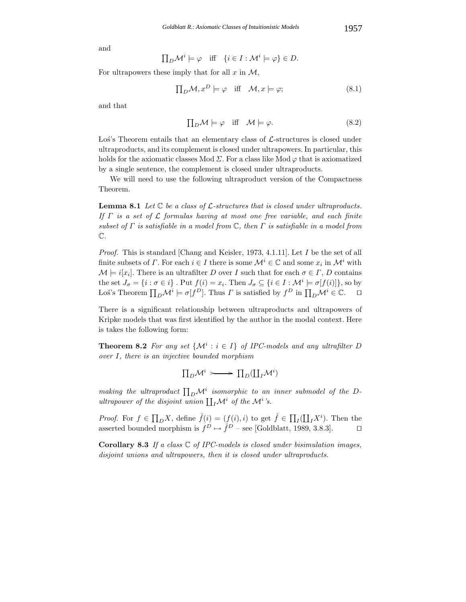$$
\prod_D \mathcal{M}^i \models \varphi \quad \text{iff} \quad \{i \in I : \mathcal{M}^i \models \varphi\} \in D.
$$

For ultrapowers these imply that for all  $x$  in  $\mathcal{M}$ ,

$$
\prod_{D} \mathcal{M}, x^D \models \varphi \quad \text{iff} \quad \mathcal{M}, x \models \varphi; \tag{8.1}
$$

and that

$$
\prod_{D} \mathcal{M} \models \varphi \quad \text{iff} \quad \mathcal{M} \models \varphi. \tag{8.2}
$$

Los's Theorem entails that an elementary class of  $\mathcal{L}$ -structures is closed under ultraproducts, and its complement is closed under ultrapowers. In particular, this holds for the axiomatic classes Mod  $\Sigma$ . For a class like Mod  $\varphi$  that is axiomatized by a single sentence, the complement is closed under ultraproducts.

We will need to use the following ultraproduct version of the Compactness Theorem.

**Lemma 8.1** *Let* C *be a class of* L*-structures that is closed under ultraproducts. If* Γ *is a set of* <sup>L</sup> *formulas having at most one free variable, and each finite subset of* Γ *is satisfiable in a model from* <sup>C</sup>*, then* Γ *is satisfiable in a model from* C*.*

*Proof.* This is standard [Chang and Keisler, 1973, 4.1.11]. Let I be the set of all finite subsets of  $\Gamma$ . For each  $i \in I$  there is some  $\mathcal{M}^i \in \mathbb{C}$  and some  $x_i$  in  $\mathcal{M}^i$  with  $\mathcal{M} \models i[x_i]$ . There is an ultrafilter D over I such that for each  $\sigma \in \Gamma$ , D contains the set  $J_{\sigma} = \{i : \sigma \in i\}$ . Put  $f(i) = x_i$ . Then  $J_{\sigma} \subseteq \{i \in I : \mathcal{M}^i \models \sigma[f(i)]\}$ , so by<br>Los's Theorem  $\prod_{\mathcal{D}} \mathcal{M}^i \models \sigma[f^D]$ . Thus  $\Gamma$  is satisfied by  $f^D$  in  $\prod_{\mathcal{D}} \mathcal{M}^i \in \mathbb{C}$ .  $\Box$ Los's Theorem  $\prod_D \mathcal{M}^i \models \sigma[f^D]$ . Thus  $\Gamma$  is satisfied by  $f^D$  in  $\prod_D \mathcal{M}^i \in \mathbb{C}$ .  $\Box$ 

There is a significant relationship between ultraproducts and ultrapowers of Kripke models that was first identified by the author in the modal context. Here is takes the following form:

**Theorem 8.2** *For any set*  $\{M^i : i \in I\}$  *of IPC-models and any ultrafilter D over* I*, there is an injective bounded morphism*

$$
\prod_{D} \mathcal{M}^i \longrightarrow \prod_{D} (\coprod_{I} \mathcal{M}^i)
$$

making the ultraproduct  $\prod_D \mathcal{M}^i$  isomorphic to an inner submodel of the D-<br>
vitrapower of the disjoint write  $\prod_i M^i$  of the  $M^{i}_{i,k}$ *ultrapower of the disjoint union*  $\prod_I \mathcal{M}^i$  *of the*  $\mathcal{M}^i$ 's.

*Proof.* For  $f \in \prod_D X$ , define  $\hat{f}(i) = (f(i), i)$  to get  $\hat{f} \in \prod_I (\coprod_I X^i)$ . Then the asserted bounded morphism is  $f^D \mapsto \hat{f}^D$  – see [Goldblatt, 1989, 3.8.3].

**Corollary 8.3** *If a class* C *of IPC-models is closed under bisimulation images, disjoint unions and ultrapowers, then it is closed under ultraproducts.*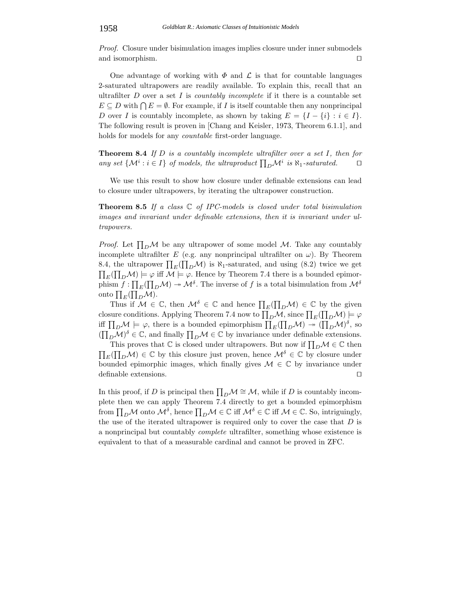*Proof.* Closure under bisimulation images implies closure under inner submodels and isomorphism.

One advantage of working with  $\Phi$  and  $\mathcal L$  is that for countable languages 2-saturated ultrapowers are readily available. To explain this, recall that an ultrafilter  $D$  over a set  $I$  is *countably incomplete* if it there is a countable set  $E \subseteq D$  with  $\bigcap E = \emptyset$ . For example, if I is itself countable then any nonprincipal D over I is countably incomplete, as shown by taking  $E = \{I - \{i\} : i \in I\}.$ The following result is proven in [Chang and Keisler, 1973, Theorem 6.1.1], and holds for models for any *countable* first-order language.

**Theorem 8.4** *If D is a countably incomplete ultrafilter over a set I*, then for any set  $\{M^i : i \in I\}$  of models, the ultraproduct  $\prod_D M^i$  is  $\aleph_1$ -saturated.  $\square$ *any set*  $\{M^i : i \in I\}$  *of models, the ultraproduct*  $\prod_D M^i$  *is*  $\aleph_1$ *-saturated.*  $\square$ 

We use this result to show how closure under definable extensions can lead to closure under ultrapowers, by iterating the ultrapower construction.

**Theorem 8.5** *If a class* C *of IPC-models is closed under total bisimulation images and invariant under definable extensions, then it is invariant under ultrapowers.*

*Proof.* Let  $\prod_D \mathcal{M}$  be any ultrapower of some model  $\mathcal{M}$ . Take any countably incomplete ultrafilter E (e.g. any nonprincipal ultrafilter on  $\omega$ ). By Theorem 8.4, the ultrapower  $\prod_{E}(\prod_{D}M)$  is  $\aleph_1$ -saturated, and using (8.2) twice we get  $\prod_E(\prod_D\mathcal{M})\models\varphi$  iff  $\mathcal{M}\models\varphi$ . Hence by Theorem 7.4 there is a bounded epimor-<br>phism  $f:\Pi_-(\Pi_-\mathcal{M})\rightarrow\mathcal{M}^{\delta}$ . The inverse of f is a tatal hisimulation from  $\mathcal{M}^{\delta}$ . phism  $f: \prod_E(\prod_D \mathcal{M}) \to \mathcal{M}^\delta$ . The inverse of f is a total bisimulation from  $\mathcal{M}^\delta$ onto  $\prod_E(\prod_D\mathcal{M}).$ 

Thus if  $M \in \mathbb{C}$ , then  $M^{\delta} \in \mathbb{C}$  and hence  $\prod_{E}(\prod_{D}M) \in \mathbb{C}$  by the given closure conditions. Applying Theorem 7.4 now to  $\prod_D \mathcal{M}$ , since  $\prod_E (\prod_D \mathcal{M}) \models \varphi$ <br>if  $\Pi$ ,  $M \models \varphi$ , there is a bounded enjoymbian  $\Pi$ ,  $(\Pi, M) \models \varphi$ iff  $\Pi_D \mathcal{M} \models \varphi$ , there is a bounded epimorphism  $\Pi_E (\Pi_D \mathcal{M}) \twoheadrightarrow (\Pi_D \mathcal{M})^{\delta}$ , so  $(\Pi_A \mathcal{M})^{\delta} \in \mathbb{C}$  and finally  $\Pi_A \mathcal{M} \in \mathbb{C}$  by invariance under definable extensions  $(\prod_D \mathcal{M})^{\delta} \in \mathbb{C}$ , and finally  $\prod_D \mathcal{M} \in \mathbb{C}$  by invariance under definable extensions.

This proves that  $\mathbb C$  is closed under ultrapowers. But now if  $\prod_D \mathcal{M} \in \mathbb C$  then  $\prod_E (\prod_D \mathcal{M}) \in \mathbb{C}$  by this closure just proven, hence  $\mathcal{M}^{\delta} \in \mathbb{C}$  by closure under bounded epimorphic images, which finally gives  $\mathcal{M} \in \mathbb{C}$  by invariance under definable extensions.

In this proof, if D is principal then  $\prod_D \mathcal{M} \cong \mathcal{M}$ , while if D is countably incom-<br>plate then we can apply Theorem 7.4 directly to get a bounded enjoymbiant plete then we can apply Theorem 7.4 directly to get a bounded epimorphism from  $\prod_D \mathcal{M}$  onto  $\mathcal{M}^{\delta}$ , hence  $\prod_D \mathcal{M} \in \mathbb{C}$  iff  $\mathcal{M}^{\delta} \in \mathbb{C}$  iff  $\mathcal{M} \in \mathbb{C}$ . So, intriguingly, the use of the iterated ultrapower is required only to cover the case that  $D$  is a nonprincipal but countably *complete* ultrafilter, something whose existence is equivalent to that of a measurable cardinal and cannot be proved in ZFC.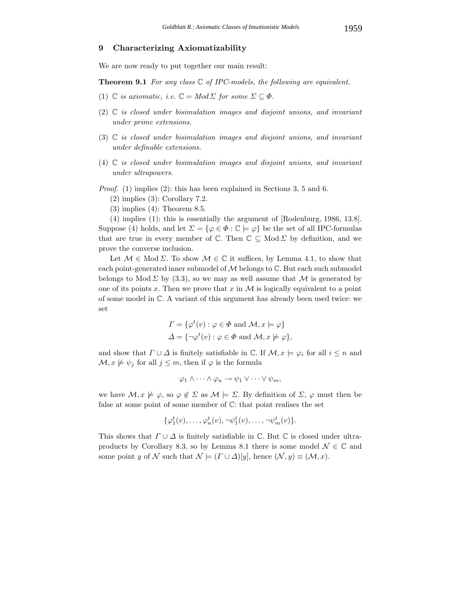## **9 Characterizing Axiomatizability**

We are now ready to put together our main result:

**Theorem 9.1** *For any class* C *of IPC-models, the following are equivalent.*

- (1)  $\mathbb C$  *is axiomatic, i.e.*  $\mathbb C = Mod \Sigma$  *for some*  $\Sigma \subseteq \Phi$ *.*
- (2) C *is closed under bisimulation images and disjoint unions, and invariant under prime extensions.*
- (3) C *is closed under bisimulation images and disjoint unions, and invariant under definable extensions.*
- (4) C *is closed under bisimulation images and disjoint unions, and invariant under ultrapowers.*

*Proof.* (1) implies (2): this has been explained in Sections 3, 5 and 6.

- (2) implies (3): Corollary 7.2.
- (3) implies (4): Theorem 8.5.

(4) implies (1): this is essentially the argument of [Rodenburg, 1986, 13.8]. Suppose (4) holds, and let  $\Sigma = {\varphi \in \Phi : \mathbb{C} \models \varphi}$  be the set of all IPC-formulas that are true in every member of  $\mathbb C$ . Then  $\mathbb C \subseteq \mathbb M$ od  $\Sigma$  by definition, and we prove the converse inclusion.

Let  $M \in Mod \Sigma$ . To show  $M \in \mathbb{C}$  it suffices, by Lemma 4.1, to show that each point-generated inner submodel of  $M$  belongs to  $\mathbb C$ . But each such submodel belongs to Mod  $\Sigma$  by (3.3), so we may as well assume that M is generated by one of its points x. Then we prove that  $x$  in  $\mathcal M$  is logically equivalent to a point of some model in C. A variant of this argument has already been used twice: we set

$$
\Gamma = \{ \varphi^t(v) : \varphi \in \Phi \text{ and } \mathcal{M}, x \models \varphi \}
$$
  

$$
\Delta = \{ \neg \varphi^t(v) : \varphi \in \Phi \text{ and } \mathcal{M}, x \not\models \varphi \},
$$

and show that  $\Gamma \cup \Delta$  is finitely satisfiable in  $\mathbb C$ . If  $\mathcal M, x \models \varphi_i$  for all  $i \leq n$  and  $\mathcal{M}, x \not\models \psi_j$  for all  $j \leq m$ , then if  $\varphi$  is the formula

$$
\varphi_1 \wedge \cdots \wedge \varphi_n \to \psi_1 \vee \cdots \vee \psi_m,
$$

we have  $\mathcal{M}, x \not\models \varphi$ , so  $\varphi \notin \Sigma$  as  $\mathcal{M} \models \Sigma$ . By definition of  $\Sigma$ ,  $\varphi$  must then be<br>false at some point of some member of  $\mathbb{C}$ , that point realises the set false at some point of some member of C: that point realises the set

$$
\{\varphi_1^t(v),\ldots,\varphi_n^t(v),\neg\psi_1^t(v),\ldots,\neg\psi_m^t(v)\}.
$$

This shows that  $\Gamma \cup \Delta$  is finitely satisfiable in  $\mathbb C$ . But  $\mathbb C$  is closed under ultraproducts by Corollary 8.3, so by Lemma 8.1 there is some model  $\mathcal{N} \in \mathbb{C}$  and some point y of N such that  $\mathcal{N} \models (\Gamma \cup \Delta)[y]$ , hence  $(\mathcal{N}, y) \equiv (\mathcal{M}, x)$ .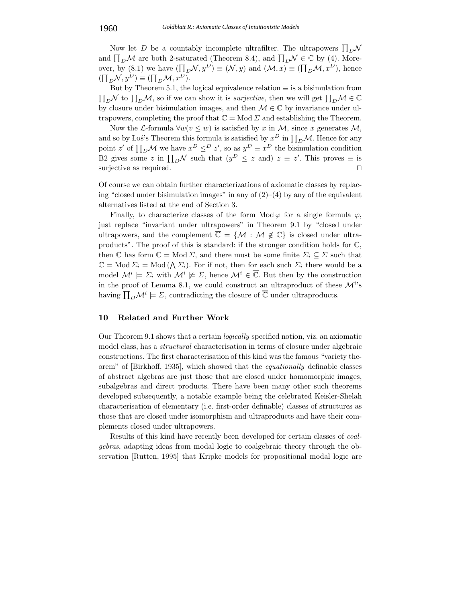Now let D be a countably incomplete ultrafilter. The ultrapowers  $\prod_{D} \mathcal{N}$ and  $\prod_D \mathcal{M}$  are both 2-saturated (Theorem 8.4), and  $\prod_D \mathcal{N} \in \mathbb{C}$  by (4). Moreover, by (8.1) we have  $(\prod_D \mathcal{N}, y^D) \equiv (\mathcal{N}, y)$  and  $(\mathcal{M}, x) \equiv (\prod_D \mathcal{M}, x^D)$ , hence  $(\prod_D \mathcal{N}, y^D) \equiv (\prod_D \mathcal{M}, x^D).$ <br>But by Theorem 5.1, the

But by Theorem 5.1, the logical equivalence relation  $\equiv$  is a bisimulation from  $\prod_D \mathcal{M}$  to  $\prod_D \mathcal{M}$ , so if we can show it is *surjective*, then we will get  $\prod_D \mathcal{M} \in \mathbb{C}$ by closure under bisimulation images, and then  $\mathcal{M} \in \mathbb{C}$  by invariance under ul-

trapowers, completing the proof that  $\mathbb{C} = \text{Mod } \Sigma$  and establishing the Theorem.<br>Now the *L*-formula  $\forall w(v \leq w)$  is satisfied by *x* in *M*, since *x* generates *M*, Now the L-formula  $\forall w(v \leq w)$  is satisfied by x in M, since x generates M, so by Lo<sup>2</sup>'s Theorem this formula is satisfied by  $x^D$  in  $\Pi$ , M, Hence for any and so by Los's Theorem this formula is satisfied by  $x^D$  in  $\prod_D \mathcal{M}$ . Hence for any point z' of  $\prod_D \mathcal{M}$  we have  $x^D \leq^D z'$ , so as  $y^D \equiv x^D$  the bisimulation condition B2 gives some  $z$  in  $\prod_D \mathcal{N}$  such that  $(y^D \leq z$  and)  $z \equiv z'$ . This proves  $\equiv$  is surjective as required.

Of course we can obtain further characterizations of axiomatic classes by replacing "closed under bisimulation images" in any of  $(2)-(4)$  by any of the equivalent alternatives listed at the end of Section 3.

Finally, to characterize classes of the form Mod  $\varphi$  for a single formula  $\varphi$ , just replace "invariant under ultrapowers" in Theorem 9.1 by "closed under ultrapowers, and the complement  $\overline{\mathbb{C}} = \{ \mathcal{M} : \mathcal{M} \notin \mathbb{C} \}$  is closed under ultraproducts". The proof of this is standard: if the stronger condition holds for C, then C has form  $\mathbb{C} = Mod \Sigma$ , and there must be some finite  $\Sigma_i \subseteq \Sigma$  such that  $\mathbb{C} = Mod \Sigma_i = Mod (\bigwedge \Sigma_i)$ . For if not, then for each such  $\Sigma_i$  there would be a model  $\mathcal{M}^i \models \Sigma_i$  with  $\mathcal{M}^i \not\models \Sigma$ , hence  $\mathcal{M}^i \in \overline{\mathbb{C}}$ . But then by the construction in the proof of Lemma 8.1, we could construct an ultraproduct of these  $\mathcal{M}^{i}$ 's having  $\prod_D \mathcal{M}^i \models \Sigma$ , contradicting the closure of  $\overline{\mathbb{C}}$  under ultraproducts.

## **10 Related and Further Work**

Our Theorem 9.1 shows that a certain *logically* specified notion, viz. an axiomatic model class, has a *structural* characterisation in terms of closure under algebraic constructions. The first characterisation of this kind was the famous "variety theorem" of [Birkhoff, 1935], which showed that the *equationally* definable classes of abstract algebras are just those that are closed under homomorphic images, subalgebras and direct products. There have been many other such theorems developed subsequently, a notable example being the celebrated Keisler-Shelah characterisation of elementary (i.e. first-order definable) classes of structures as those that are closed under isomorphism and ultraproducts and have their complements closed under ultrapowers.

Results of this kind have recently been developed for certain classes of *coalgebras*, adapting ideas from modal logic to coalgebraic theory through the observation [Rutten, 1995] that Kripke models for propositional modal logic are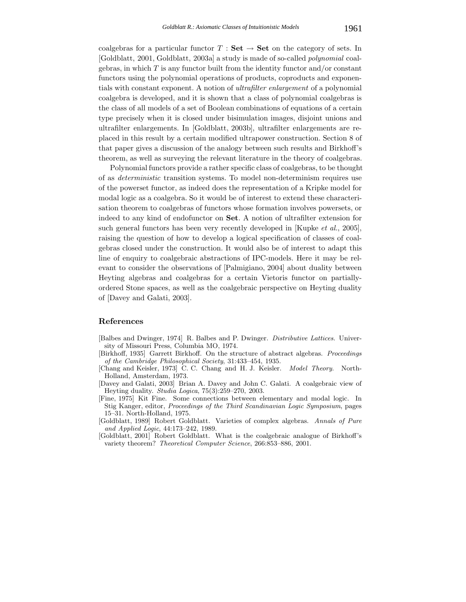coalgebras for a particular functor  $T : Set \rightarrow Set$  on the category of sets. In [Goldblatt, 2001, Goldblatt, 2003a] a study is made of so-called *polynomial* coalgebras, in which  $T$  is any functor built from the identity functor and/or constant functors using the polynomial operations of products, coproducts and exponentials with constant exponent. A notion of *ultrafilter enlargement* of a polynomial coalgebra is developed, and it is shown that a class of polynomial coalgebras is the class of all models of a set of Boolean combinations of equations of a certain type precisely when it is closed under bisimulation images, disjoint unions and ultrafilter enlargements. In [Goldblatt, 2003b], ultrafilter enlargements are replaced in this result by a certain modified ultrapower construction. Section 8 of that paper gives a discussion of the analogy between such results and Birkhoff's theorem, as well as surveying the relevant literature in the theory of coalgebras.

Polynomial functors provide a rather specific class of coalgebras, to be thought of as *deterministic* transition systems. To model non-determinism requires use of the powerset functor, as indeed does the representation of a Kripke model for modal logic as a coalgebra. So it would be of interest to extend these characterisation theorem to coalgebras of functors whose formation involves powersets, or indeed to any kind of endofunctor on **Set**. A notion of ultrafilter extension for such general functors has been very recently developed in [Kupke *et al.*, 2005], raising the question of how to develop a logical specification of classes of coalgebras closed under the construction. It would also be of interest to adapt this line of enquiry to coalgebraic abstractions of IPC-models. Here it may be relevant to consider the observations of [Palmigiano, 2004] about duality between Heyting algebras and coalgebras for a certain Vietoris functor on partiallyordered Stone spaces, as well as the coalgebraic perspective on Heyting duality of [Davey and Galati, 2003].

## **References**

- [Balbes and Dwinger, 1974] R. Balbes and P. Dwinger. *Distributive Lattices*. University of Missouri Press, Columbia MO, 1974.
- [Birkhoff, 1935] Garrett Birkhoff. On the structure of abstract algebras. *Proceedings of the Cambridge Philosophical Society*, 31:433–454, 1935.
- [Chang and Keisler, 1973] C. C. Chang and H. J. Keisler. *Model Theory*. North-Holland, Amsterdam, 1973.
- [Davey and Galati, 2003] Brian A. Davey and John C. Galati. A coalgebraic view of Heyting duality. *Studia Logica*, 75(3):259–270, 2003.
- [Fine, 1975] Kit Fine. Some connections between elementary and modal logic. In Stig Kanger, editor, *Proceedings of the Third Scandinavian Logic Symposium*, pages 15–31. North-Holland, 1975.
- [Goldblatt, 1989] Robert Goldblatt. Varieties of complex algebras. *Annals of Pure and Applied Logic*, 44:173–242, 1989.
- [Goldblatt, 2001] Robert Goldblatt. What is the coalgebraic analogue of Birkhoff's variety theorem? *Theoretical Computer Science*, 266:853–886, 2001.